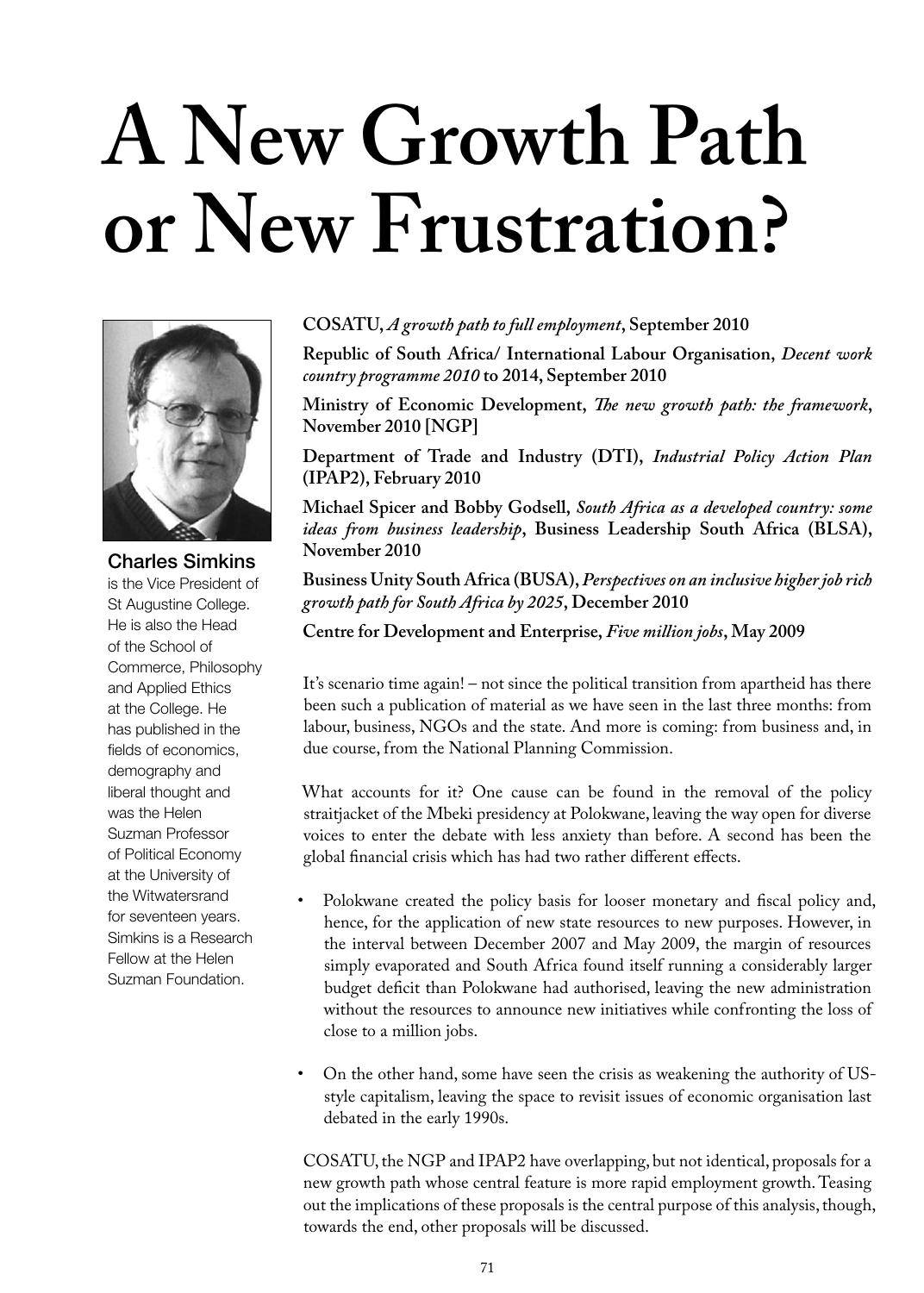## **A New Growth Path or New Frustration?**



Charles Simkins is the Vice President of St Augustine College. He is also the Head of the School of Commerce, Philosophy and Applied Ethics at the College. He has published in the fields of economics, demography and liberal thought and was the Helen Suzman Professor of Political Economy at the University of the Witwatersrand for seventeen years. Simkins is a Research Fellow at the Helen Suzman Foundation.

## **COSATU,** *A growth path to full employment***, September 2010**

**Republic of South Africa/ International Labour Organisation,** *Decent work country programme 2010* **to 2014, September 2010**

**Ministry of Economic Development,** *The new growth path: the framework***, November 2010 [NGP]**

**Department of Trade and Industry (DTI),** *Industrial Policy Action Plan* **(IPAP2), February 2010**

**Michael Spicer and Bobby Godsell,** *South Africa as a developed country: some ideas from business leadership***, Business Leadership South Africa (BLSA), November 2010**

**Business Unity South Africa (BUSA),** *Perspectives on an inclusive higherjob rich growth path for South Africa by 2025***, December 2010**

**Centre for Development and Enterprise,** *Five million jobs***, May 2009**

It's scenario time again! – not since the political transition from apartheid has there been such a publication of material as we have seen in the last three months: from labour, business, NGOs and the state. And more is coming: from business and, in due course, from the National Planning Commission.

What accounts for it? One cause can be found in the removal of the policy straitjacket of the Mbeki presidency at Polokwane, leaving the way open for diverse voices to enter the debate with less anxiety than before. A second has been the global financial crisis which has had two rather different effects.

- Polokwane created the policy basis for looser monetary and fiscal policy and, hence, for the application of new state resources to new purposes. However, in the interval between December 2007 and May 2009, the margin of resources simply evaporated and South Africa found itself running a considerably larger budget deficit than Polokwane had authorised, leaving the new administration without the resources to announce new initiatives while confronting the loss of close to a million jobs.
- On the other hand, some have seen the crisis as weakening the authority of USstyle capitalism, leaving the space to revisit issues of economic organisation last debated in the early 1990s.

COSATU, the NGP and IPAP2 have overlapping, but not identical, proposals for a new growth path whose central feature is more rapid employment growth. Teasing out the implications of these proposals is the central purpose of this analysis, though, towards the end, other proposals will be discussed.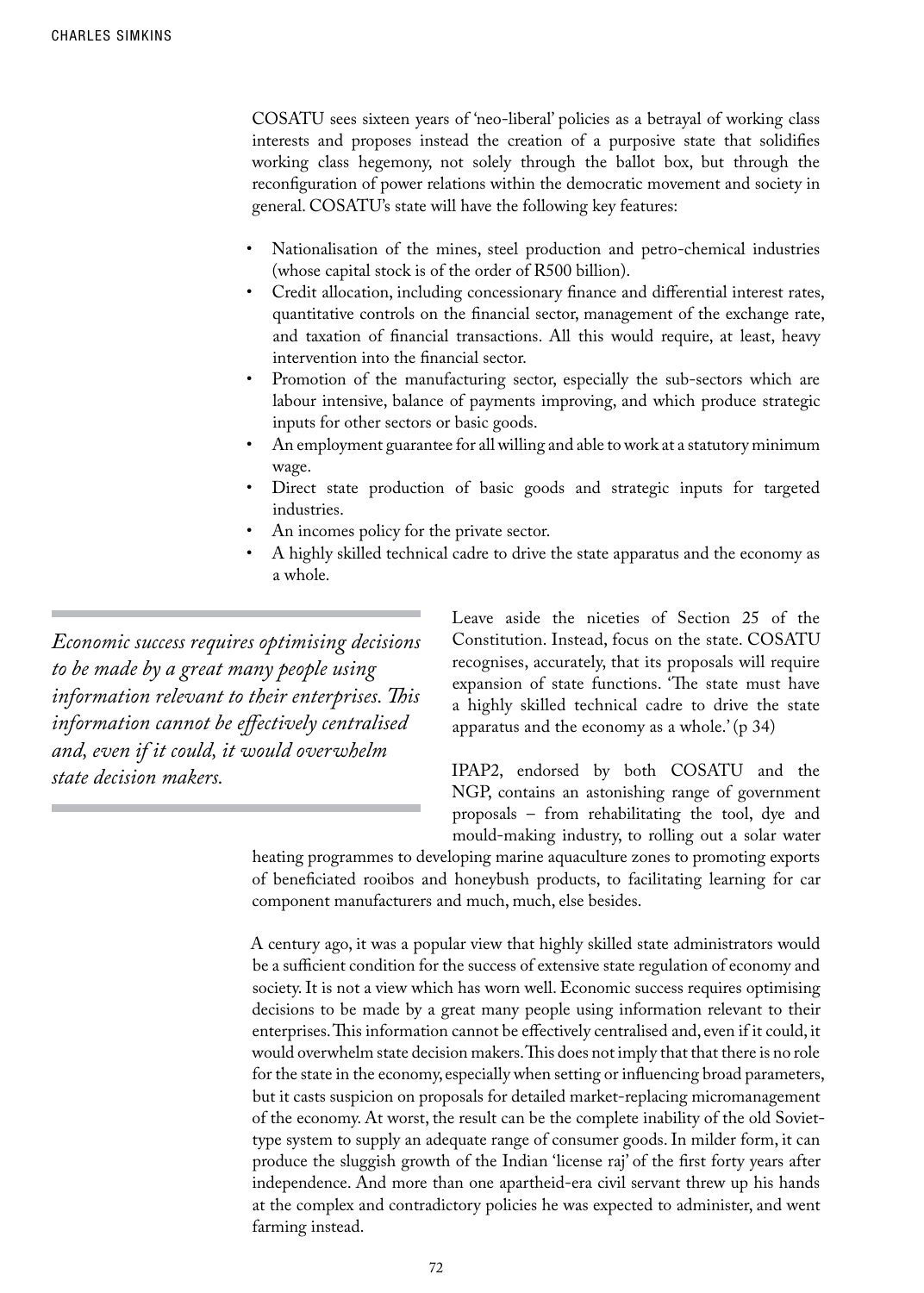COSATU sees sixteen years of 'neo-liberal' policies as a betrayal of working class interests and proposes instead the creation of a purposive state that solidifies working class hegemony, not solely through the ballot box, but through the reconfiguration of power relations within the democratic movement and society in general. COSATU's state will have the following key features:

- Nationalisation of the mines, steel production and petro-chemical industries (whose capital stock is of the order of R500 billion).
- Credit allocation, including concessionary finance and differential interest rates, quantitative controls on the financial sector, management of the exchange rate, and taxation of financial transactions. All this would require, at least, heavy intervention into the financial sector.
- Promotion of the manufacturing sector, especially the sub-sectors which are labour intensive, balance of payments improving, and which produce strategic inputs for other sectors or basic goods.
- An employment guarantee for all willing and able to work at a statutory minimum wage.
- Direct state production of basic goods and strategic inputs for targeted industries.
- An incomes policy for the private sector.
- A highly skilled technical cadre to drive the state apparatus and the economy as a whole.

*Economic success requires optimising decisions to be made by a great many people using information relevant to their enterprises. This information cannot be effectively centralised and, even if it could, it would overwhelm state decision makers.*

Leave aside the niceties of Section 25 of the Constitution. Instead, focus on the state. COSATU recognises, accurately, that its proposals will require expansion of state functions. 'The state must have a highly skilled technical cadre to drive the state apparatus and the economy as a whole.' (p 34)

IPAP2, endorsed by both COSATU and the NGP, contains an astonishing range of government proposals – from rehabilitating the tool, dye and mould-making industry, to rolling out a solar water

heating programmes to developing marine aquaculture zones to promoting exports of beneficiated rooibos and honeybush products, to facilitating learning for car component manufacturers and much, much, else besides.

A century ago, it was a popular view that highly skilled state administrators would be a sufficient condition for the success of extensive state regulation of economy and society. It is not a view which has worn well. Economic success requires optimising decisions to be made by a great many people using information relevant to their enterprises. This information cannot be effectively centralised and, even if it could, it would overwhelm state decision makers. This does not imply that that there is no role for the state in the economy, especially when setting or influencing broad parameters, but it casts suspicion on proposals for detailed market-replacing micromanagement of the economy. At worst, the result can be the complete inability of the old Soviettype system to supply an adequate range of consumer goods. In milder form, it can produce the sluggish growth of the Indian 'license raj' of the first forty years after independence. And more than one apartheid-era civil servant threw up his hands at the complex and contradictory policies he was expected to administer, and went farming instead.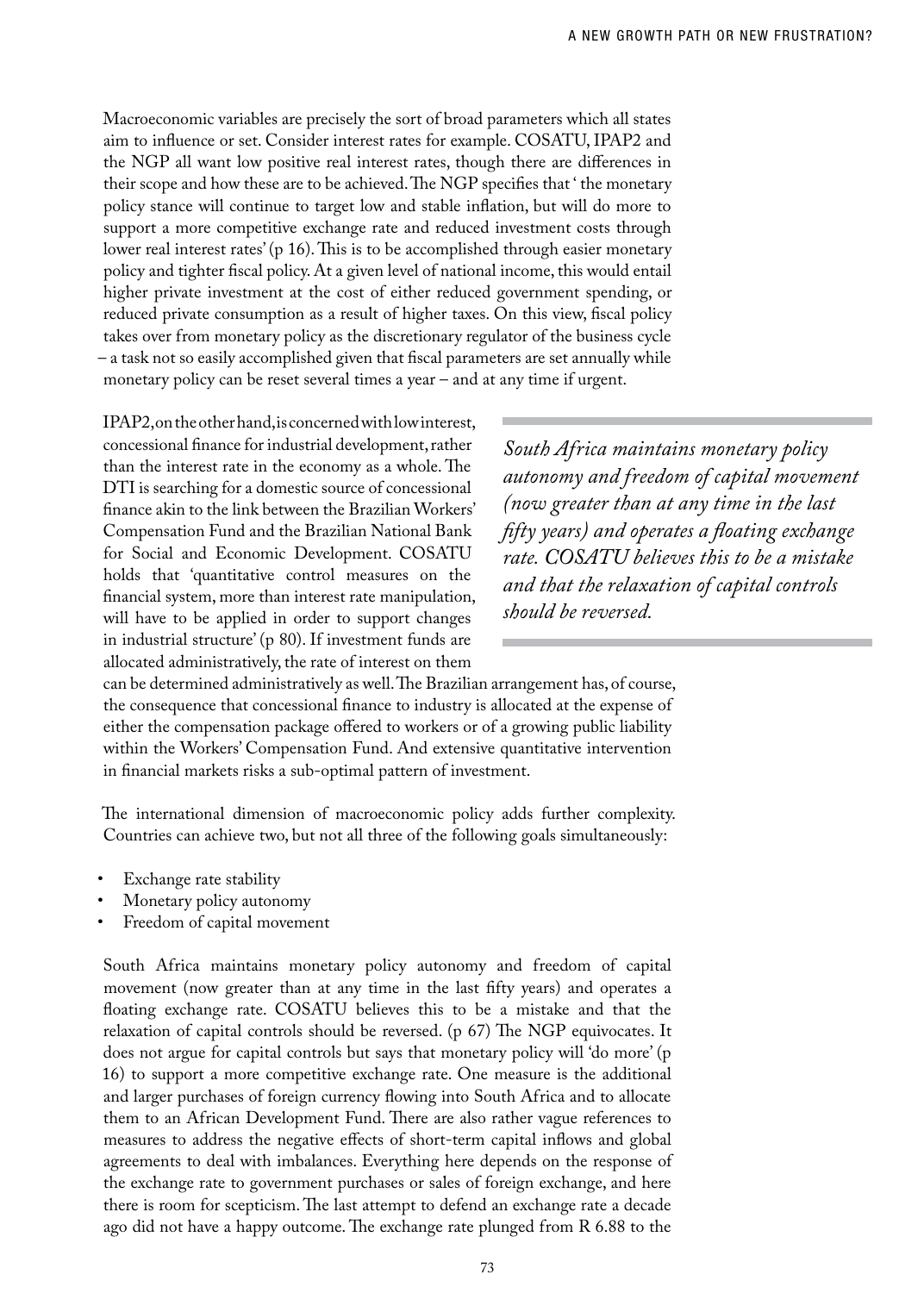Macroeconomic variables are precisely the sort of broad parameters which all states aim to influence or set. Consider interest rates for example. COSATU, IPAP2 and the NGP all want low positive real interest rates, though there are differences in their scope and how these are to be achieved. The NGP specifies that ' the monetary policy stance will continue to target low and stable inflation, but will do more to support a more competitive exchange rate and reduced investment costs through lower real interest rates' (p 16). This is to be accomplished through easier monetary policy and tighter fiscal policy. At a given level of national income, this would entail higher private investment at the cost of either reduced government spending, or reduced private consumption as a result of higher taxes. On this view, fiscal policy takes over from monetary policy as the discretionary regulator of the business cycle – a task not so easily accomplished given that fiscal parameters are set annually while monetary policy can be reset several times a year – and at any time if urgent.

IPAP2, on the other hand, is concerned with low interest, concessional finance for industrial development, rather than the interest rate in the economy as a whole. The DTI is searching for a domestic source of concessional finance akin to the link between the Brazilian Workers' Compensation Fund and the Brazilian National Bank for Social and Economic Development. COSATU holds that 'quantitative control measures on the financial system, more than interest rate manipulation, will have to be applied in order to support changes in industrial structure' (p 80). If investment funds are allocated administratively, the rate of interest on them

*South Africa maintains monetary policy autonomy and freedom of capital movement (now greater than at any time in the last fifty years) and operates a floating exchange rate. COSATU believes this to be a mistake and that the relaxation of capital controls should be reversed.*

can be determined administratively as well. The Brazilian arrangement has, of course, the consequence that concessional finance to industry is allocated at the expense of either the compensation package offered to workers or of a growing public liability within the Workers' Compensation Fund. And extensive quantitative intervention in financial markets risks a sub-optimal pattern of investment.

The international dimension of macroeconomic policy adds further complexity. Countries can achieve two, but not all three of the following goals simultaneously:

- Exchange rate stability
- Monetary policy autonomy
- Freedom of capital movement

South Africa maintains monetary policy autonomy and freedom of capital movement (now greater than at any time in the last fifty years) and operates a floating exchange rate. COSATU believes this to be a mistake and that the relaxation of capital controls should be reversed. (p 67) The NGP equivocates. It does not argue for capital controls but says that monetary policy will 'do more' (p 16) to support a more competitive exchange rate. One measure is the additional and larger purchases of foreign currency flowing into South Africa and to allocate them to an African Development Fund. There are also rather vague references to measures to address the negative effects of short-term capital inflows and global agreements to deal with imbalances. Everything here depends on the response of the exchange rate to government purchases or sales of foreign exchange, and here there is room for scepticism. The last attempt to defend an exchange rate a decade ago did not have a happy outcome. The exchange rate plunged from R 6.88 to the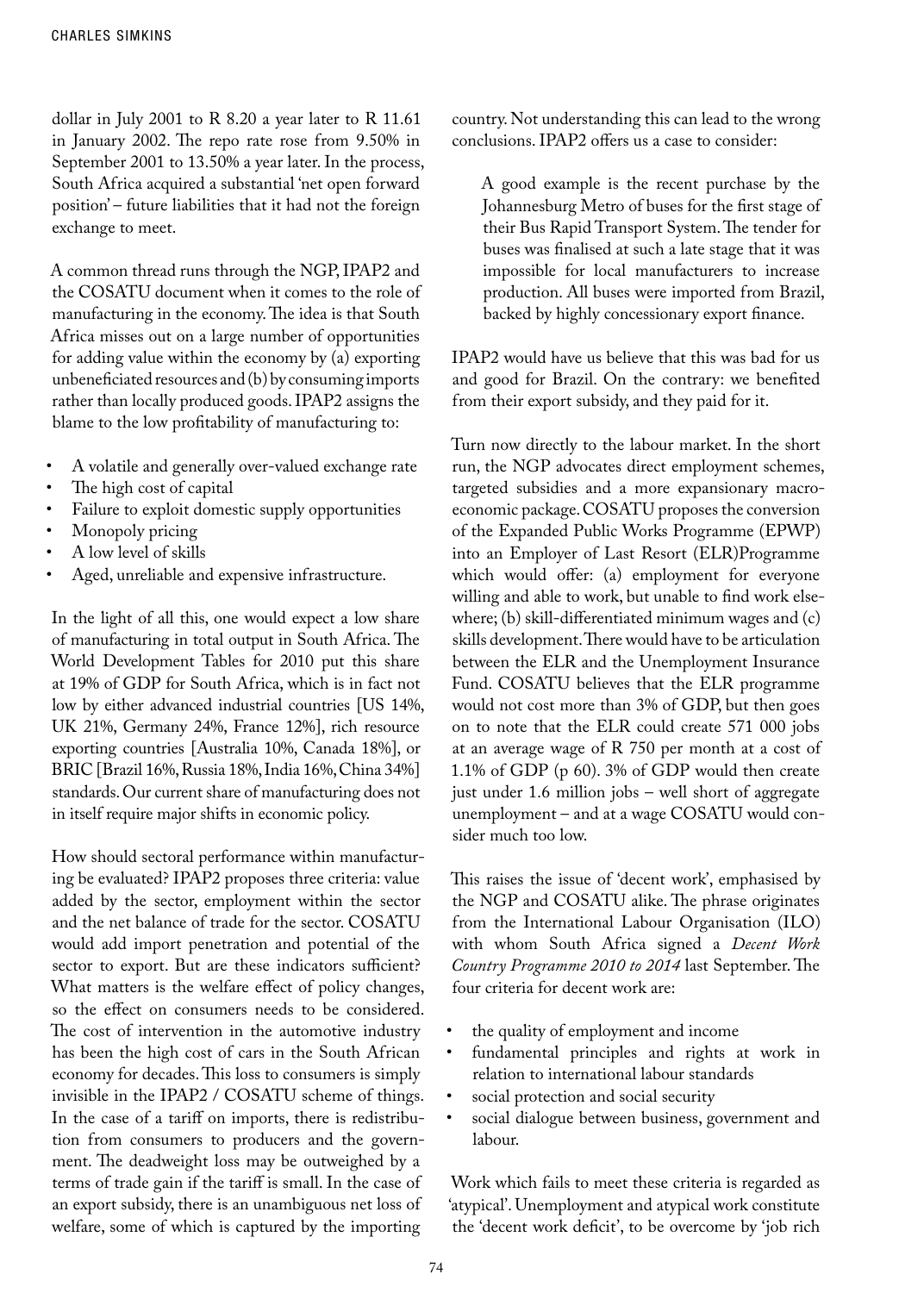dollar in July 2001 to R 8.20 a year later to R 11.61 in January 2002. The repo rate rose from 9.50% in September 2001 to 13.50% a year later. In the process, South Africa acquired a substantial 'net open forward position' – future liabilities that it had not the foreign exchange to meet.

A common thread runs through the NGP, IPAP2 and the COSATU document when it comes to the role of manufacturing in the economy. The idea is that South Africa misses out on a large number of opportunities for adding value within the economy by (a) exporting unbeneficiated resources and (b) by consuming imports rather than locally produced goods. IPAP2 assigns the blame to the low profitability of manufacturing to:

- • A volatile and generally over-valued exchange rate
- The high cost of capital
- Failure to exploit domestic supply opportunities
- Monopoly pricing
- A low level of skills
- Aged, unreliable and expensive infrastructure.

In the light of all this, one would expect a low share of manufacturing in total output in South Africa. The World Development Tables for 2010 put this share at 19% of GDP for South Africa, which is in fact not low by either advanced industrial countries [US 14%, UK 21%, Germany 24%, France 12%], rich resource exporting countries [Australia 10%, Canada 18%], or BRIC [Brazil 16%, Russia 18%, India 16%, China 34%] standards. Our current share of manufacturing does not in itself require major shifts in economic policy.

How should sectoral performance within manufacturing be evaluated? IPAP2 proposes three criteria: value added by the sector, employment within the sector and the net balance of trade for the sector. COSATU would add import penetration and potential of the sector to export. But are these indicators sufficient? What matters is the welfare effect of policy changes, so the effect on consumers needs to be considered. The cost of intervention in the automotive industry has been the high cost of cars in the South African economy for decades. This loss to consumers is simply invisible in the IPAP2 / COSATU scheme of things. In the case of a tariff on imports, there is redistribution from consumers to producers and the government. The deadweight loss may be outweighed by a terms of trade gain if the tariff is small. In the case of an export subsidy, there is an unambiguous net loss of welfare, some of which is captured by the importing

country. Not understanding this can lead to the wrong conclusions. IPAP2 offers us a case to consider:

A good example is the recent purchase by the Johannesburg Metro of buses for the first stage of their Bus Rapid Transport System. The tender for buses was finalised at such a late stage that it was impossible for local manufacturers to increase production. All buses were imported from Brazil, backed by highly concessionary export finance.

IPAP2 would have us believe that this was bad for us and good for Brazil. On the contrary: we benefited from their export subsidy, and they paid for it.

Turn now directly to the labour market. In the short run, the NGP advocates direct employment schemes, targeted subsidies and a more expansionary macroeconomic package. COSATU proposes the conversion of the Expanded Public Works Programme (EPWP) into an Employer of Last Resort (ELR)Programme which would offer: (a) employment for everyone willing and able to work, but unable to find work elsewhere; (b) skill-differentiated minimum wages and (c) skills development. There would have to be articulation between the ELR and the Unemployment Insurance Fund. COSATU believes that the ELR programme would not cost more than 3% of GDP, but then goes on to note that the ELR could create 571 000 jobs at an average wage of R 750 per month at a cost of 1.1% of GDP (p 60). 3% of GDP would then create just under 1.6 million jobs – well short of aggregate unemployment – and at a wage COSATU would consider much too low.

This raises the issue of 'decent work', emphasised by the NGP and COSATU alike. The phrase originates from the International Labour Organisation (ILO) with whom South Africa signed a *Decent Work Country Programme 2010 to 2014* last September. The four criteria for decent work are:

- the quality of employment and income
- fundamental principles and rights at work in relation to international labour standards
- social protection and social security
- social dialogue between business, government and labour.

Work which fails to meet these criteria is regarded as 'atypical'. Unemployment and atypical work constitute the 'decent work deficit', to be overcome by 'job rich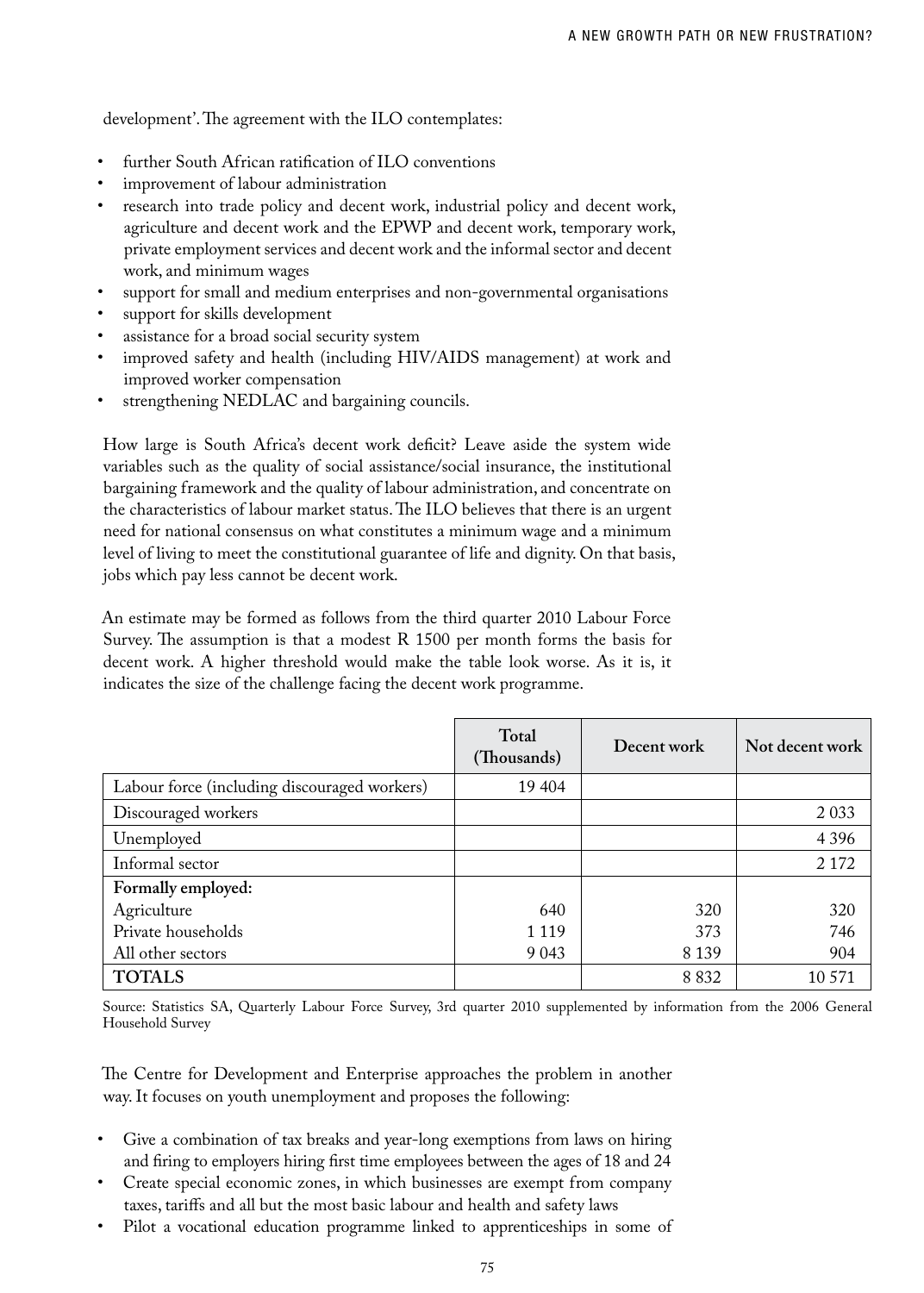development'. The agreement with the ILO contemplates:

- further South African ratification of ILO conventions
- improvement of labour administration
- research into trade policy and decent work, industrial policy and decent work, agriculture and decent work and the EPWP and decent work, temporary work, private employment services and decent work and the informal sector and decent work, and minimum wages
- support for small and medium enterprises and non-governmental organisations
- support for skills development
- assistance for a broad social security system
- improved safety and health (including HIV/AIDS management) at work and improved worker compensation
- strengthening NEDLAC and bargaining councils.

How large is South Africa's decent work deficit? Leave aside the system wide variables such as the quality of social assistance/social insurance, the institutional bargaining framework and the quality of labour administration, and concentrate on the characteristics of labour market status. The ILO believes that there is an urgent need for national consensus on what constitutes a minimum wage and a minimum level of living to meet the constitutional guarantee of life and dignity. On that basis, jobs which pay less cannot be decent work.

An estimate may be formed as follows from the third quarter 2010 Labour Force Survey. The assumption is that a modest R 1500 per month forms the basis for decent work. A higher threshold would make the table look worse. As it is, it indicates the size of the challenge facing the decent work programme.

|                                              | Total<br>(Thousands) | Decent work | Not decent work |
|----------------------------------------------|----------------------|-------------|-----------------|
| Labour force (including discouraged workers) | 19 404               |             |                 |
| Discouraged workers                          |                      |             | 2 0 3 3         |
| Unemployed                                   |                      |             | 4 3 9 6         |
| Informal sector                              |                      |             | 2 1 7 2         |
| Formally employed:                           |                      |             |                 |
| Agriculture                                  | 640                  | 320         | 320             |
| Private households                           | 1 1 1 9              | 373         | 746             |
| All other sectors                            | 9 0 43               | 8 1 3 9     | 904             |
| <b>TOTALS</b>                                |                      | 8 8 3 2     | 10 5 71         |

Source: Statistics SA, Quarterly Labour Force Survey, 3rd quarter 2010 supplemented by information from the 2006 General Household Survey

The Centre for Development and Enterprise approaches the problem in another way. It focuses on youth unemployment and proposes the following:

- Give a combination of tax breaks and year-long exemptions from laws on hiring and firing to employers hiring first time employees between the ages of 18 and 24
- Create special economic zones, in which businesses are exempt from company taxes, tariffs and all but the most basic labour and health and safety laws
- Pilot a vocational education programme linked to apprenticeships in some of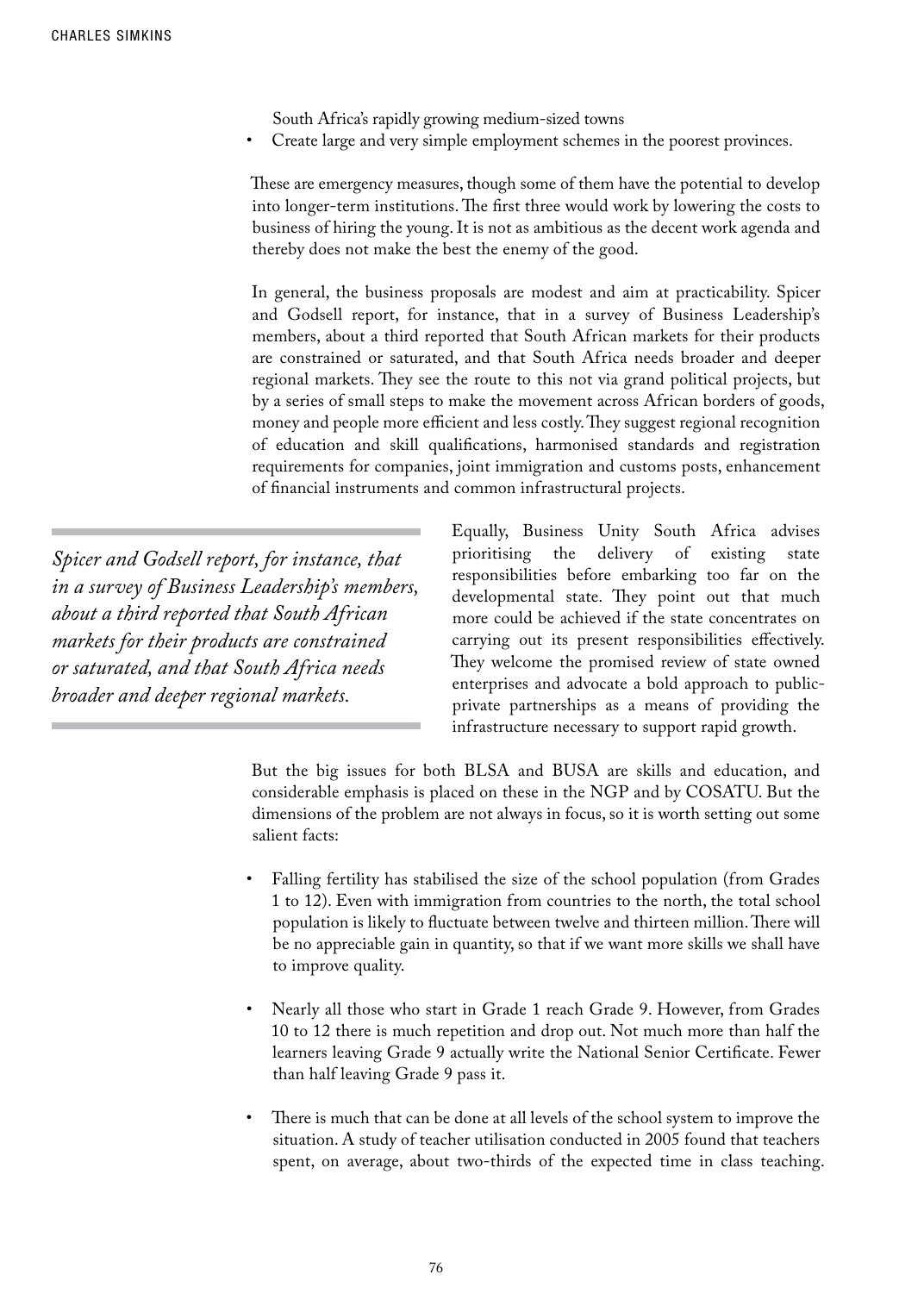South Africa's rapidly growing medium-sized towns

Create large and very simple employment schemes in the poorest provinces.

These are emergency measures, though some of them have the potential to develop into longer-term institutions. The first three would work by lowering the costs to business of hiring the young. It is not as ambitious as the decent work agenda and thereby does not make the best the enemy of the good.

In general, the business proposals are modest and aim at practicability. Spicer and Godsell report, for instance, that in a survey of Business Leadership's members, about a third reported that South African markets for their products are constrained or saturated, and that South Africa needs broader and deeper regional markets. They see the route to this not via grand political projects, but by a series of small steps to make the movement across African borders of goods, money and people more efficient and less costly. They suggest regional recognition of education and skill qualifications, harmonised standards and registration requirements for companies, joint immigration and customs posts, enhancement of financial instruments and common infrastructural projects.

*Spicer and Godsell report, for instance, that in a survey of Business Leadership's members, about a third reported that South African markets for their products are constrained or saturated, and that South Africa needs broader and deeper regional markets.* 

Equally, Business Unity South Africa advises prioritising the delivery of existing state responsibilities before embarking too far on the developmental state. They point out that much more could be achieved if the state concentrates on carrying out its present responsibilities effectively. They welcome the promised review of state owned enterprises and advocate a bold approach to publicprivate partnerships as a means of providing the infrastructure necessary to support rapid growth.

But the big issues for both BLSA and BUSA are skills and education, and considerable emphasis is placed on these in the NGP and by COSATU. But the dimensions of the problem are not always in focus, so it is worth setting out some salient facts:

- Falling fertility has stabilised the size of the school population (from Grades 1 to 12). Even with immigration from countries to the north, the total school population is likely to fluctuate between twelve and thirteen million. There will be no appreciable gain in quantity, so that if we want more skills we shall have to improve quality.
- Nearly all those who start in Grade 1 reach Grade 9. However, from Grades 10 to 12 there is much repetition and drop out. Not much more than half the learners leaving Grade 9 actually write the National Senior Certificate. Fewer than half leaving Grade 9 pass it.
- There is much that can be done at all levels of the school system to improve the situation. A study of teacher utilisation conducted in 2005 found that teachers spent, on average, about two-thirds of the expected time in class teaching.